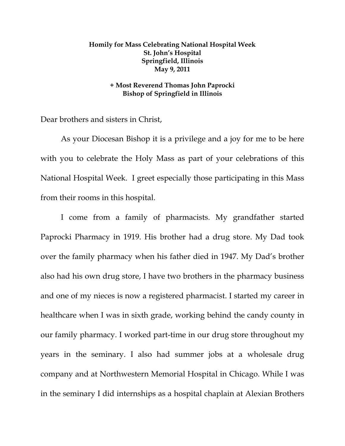## **Homily for Mass Celebrating National Hospital Week St. John's Hospital Springfield, Illinois May 9, 2011**

## **+ Most Reverend Thomas John Paprocki Bishop of Springfield in Illinois**

Dear brothers and sisters in Christ,

 As your Diocesan Bishop it is a privilege and a joy for me to be here with you to celebrate the Holy Mass as part of your celebrations of this National Hospital Week. I greet especially those participating in this Mass from their rooms in this hospital.

I come from a family of pharmacists. My grandfather started Paprocki Pharmacy in 1919. His brother had a drug store. My Dad took over the family pharmacy when his father died in 1947. My Dad's brother also had his own drug store, I have two brothers in the pharmacy business and one of my nieces is now a registered pharmacist. I started my career in healthcare when I was in sixth grade, working behind the candy county in our family pharmacy. I worked part-time in our drug store throughout my years in the seminary. I also had summer jobs at a wholesale drug company and at Northwestern Memorial Hospital in Chicago. While I was in the seminary I did internships as a hospital chaplain at Alexian Brothers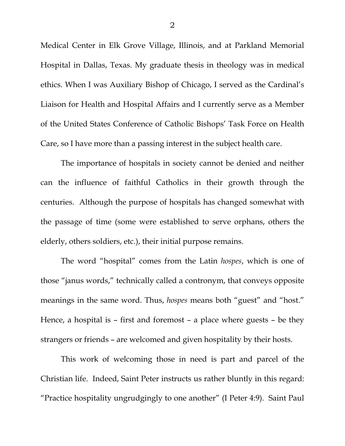Medical Center in Elk Grove Village, Illinois, and at Parkland Memorial Hospital in Dallas, Texas. My graduate thesis in theology was in medical ethics. When I was Auxiliary Bishop of Chicago, I served as the Cardinal's Liaison for Health and Hospital Affairs and I currently serve as a Member of the United States Conference of Catholic Bishops' Task Force on Health Care, so I have more than a passing interest in the subject health care.

 The importance of hospitals in society cannot be denied and neither can the influence of faithful Catholics in their growth through the centuries. Although the purpose of hospitals has changed somewhat with the passage of time (some were established to serve orphans, others the elderly, others soldiers, etc.), their initial purpose remains.

 The word "hospital" comes from the Latin *hospes*, which is one of those "janus words," technically called a contronym, that conveys opposite meanings in the same word. Thus, *hospes* means both "guest" and "host." Hence, a hospital is – first and foremost – a place where guests – be they strangers or friends – are welcomed and given hospitality by their hosts.

 This work of welcoming those in need is part and parcel of the Christian life. Indeed, Saint Peter instructs us rather bluntly in this regard: "Practice hospitality ungrudgingly to one another" (I Peter 4:9). Saint Paul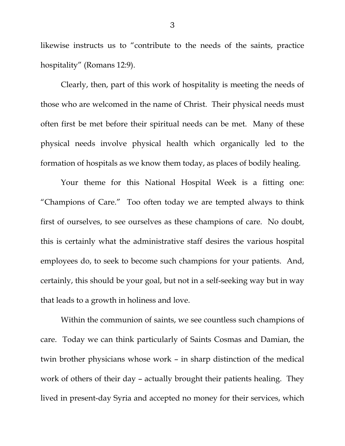likewise instructs us to "contribute to the needs of the saints, practice hospitality" (Romans 12:9).

 Clearly, then, part of this work of hospitality is meeting the needs of those who are welcomed in the name of Christ. Their physical needs must often first be met before their spiritual needs can be met. Many of these physical needs involve physical health which organically led to the formation of hospitals as we know them today, as places of bodily healing.

 Your theme for this National Hospital Week is a fitting one: "Champions of Care." Too often today we are tempted always to think first of ourselves, to see ourselves as these champions of care. No doubt, this is certainly what the administrative staff desires the various hospital employees do, to seek to become such champions for your patients. And, certainly, this should be your goal, but not in a self-seeking way but in way that leads to a growth in holiness and love.

 Within the communion of saints, we see countless such champions of care. Today we can think particularly of Saints Cosmas and Damian, the twin brother physicians whose work – in sharp distinction of the medical work of others of their day – actually brought their patients healing. They lived in present-day Syria and accepted no money for their services, which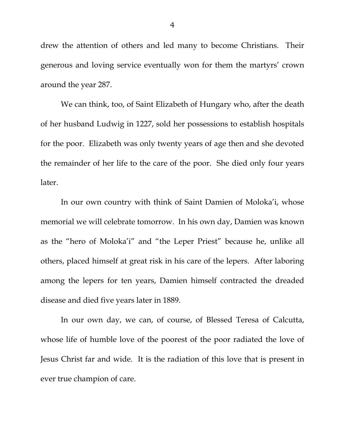drew the attention of others and led many to become Christians. Their generous and loving service eventually won for them the martyrs' crown around the year 287.

 We can think, too, of Saint Elizabeth of Hungary who, after the death of her husband Ludwig in 1227, sold her possessions to establish hospitals for the poor. Elizabeth was only twenty years of age then and she devoted the remainder of her life to the care of the poor. She died only four years later.

 In our own country with think of Saint Damien of Moloka'i, whose memorial we will celebrate tomorrow. In his own day, Damien was known as the "hero of Moloka'i" and "the Leper Priest" because he, unlike all others, placed himself at great risk in his care of the lepers. After laboring among the lepers for ten years, Damien himself contracted the dreaded disease and died five years later in 1889.

 In our own day, we can, of course, of Blessed Teresa of Calcutta, whose life of humble love of the poorest of the poor radiated the love of Jesus Christ far and wide. It is the radiation of this love that is present in ever true champion of care.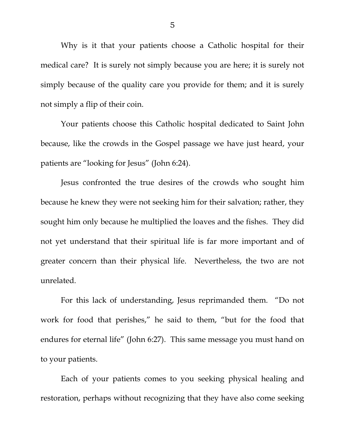Why is it that your patients choose a Catholic hospital for their medical care? It is surely not simply because you are here; it is surely not simply because of the quality care you provide for them; and it is surely not simply a flip of their coin.

 Your patients choose this Catholic hospital dedicated to Saint John because, like the crowds in the Gospel passage we have just heard, your patients are "looking for Jesus" (John 6:24).

 Jesus confronted the true desires of the crowds who sought him because he knew they were not seeking him for their salvation; rather, they sought him only because he multiplied the loaves and the fishes. They did not yet understand that their spiritual life is far more important and of greater concern than their physical life. Nevertheless, the two are not unrelated.

 For this lack of understanding, Jesus reprimanded them. "Do not work for food that perishes," he said to them, "but for the food that endures for eternal life" (John 6:27). This same message you must hand on to your patients.

 Each of your patients comes to you seeking physical healing and restoration, perhaps without recognizing that they have also come seeking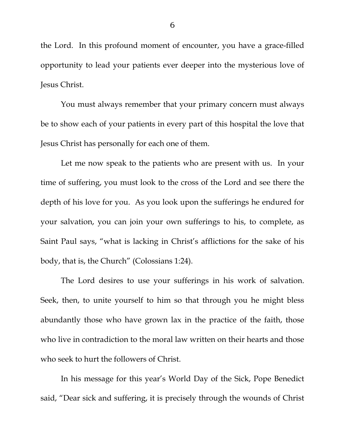the Lord. In this profound moment of encounter, you have a grace-filled opportunity to lead your patients ever deeper into the mysterious love of Jesus Christ.

 You must always remember that your primary concern must always be to show each of your patients in every part of this hospital the love that Jesus Christ has personally for each one of them.

 Let me now speak to the patients who are present with us. In your time of suffering, you must look to the cross of the Lord and see there the depth of his love for you. As you look upon the sufferings he endured for your salvation, you can join your own sufferings to his, to complete, as Saint Paul says, "what is lacking in Christ's afflictions for the sake of his body, that is, the Church" (Colossians 1:24).

 The Lord desires to use your sufferings in his work of salvation. Seek, then, to unite yourself to him so that through you he might bless abundantly those who have grown lax in the practice of the faith, those who live in contradiction to the moral law written on their hearts and those who seek to hurt the followers of Christ.

In his message for this year's World Day of the Sick, Pope Benedict said, "Dear sick and suffering, it is precisely through the wounds of Christ